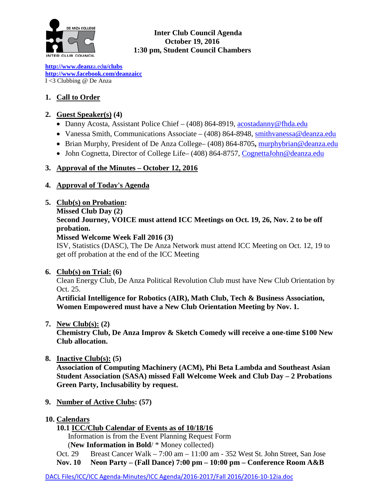

 **Inter Club Council Agenda October 19, 2016 1:30 pm, Student Council Chambers** 

**[http://www.deanz](http://www.deanza.edu/clubs)**[a.ed](http://www.deanza.edu/clubs)**[u/clubs](http://www.deanza.edu/clubs) [http://www.facebook.com/deanzaicc](http://www.facebook.com/home.php#!/group.php?gid=59034552686)** I <3 Clubbing @ De Anza

## **1. Call to Order**

## **2. Guest Speaker(s) (4)**

- Danny Acosta, Assistant Police Chief (408) 864-8919, [acostadanny@fhda.edu](mailto:acostadanny@fhda.edu)
- Vanessa Smith, Communications Associate (408) 864-8948, [smithvanessa@deanza.edu](mailto:smithvanessa@deanza.edu)
- Brian Murphy, President of De Anza College– (408) 864-8705**,** [murphybrian@deanza.edu](mailto:murphybrian@deanza.edu)
- John Cognetta, Director of College Life– (408) 864-8757, [CognettaJohn@deanza.edu](mailto:CognettaJohn@deanza.edu)

## **3. Approval of the Minutes – October 12, 2016**

## **4. Approval of Today's Agenda**

- **5. Club(s) on Probation:** 
	- **Missed Club Day (2)**

# **Second Journey, VOICE must attend ICC Meetings on Oct. 19, 26, Nov. 2 to be off probation.**

## **Missed Welcome Week Fall 2016 (3)**

ISV, Statistics (DASC), The De Anza Network must attend ICC Meeting on Oct. 12, 19 to get off probation at the end of the ICC Meeting

## **6. Club(s) on Trial: (6)**

Clean Energy Club, De Anza Political Revolution Club must have New Club Orientation by Oct. 25.

**Artificial Intelligence for Robotics (AIR), Math Club, Tech & Business Association, Women Empowered must have a New Club Orientation Meeting by Nov. 1.**

**7. New Club(s): (2)**

**Chemistry Club, De Anza Improv & Sketch Comedy will receive a one-time \$100 New Club allocation.**

**8. Inactive Club(s): (5)**

**Association of Computing Machinery (ACM), Phi Beta Lambda and Southeast Asian Student Association (SASA) missed Fall Welcome Week and Club Day – 2 Probations Green Party, Inclusability by request.**

- **9. Number of Active Clubs: (57)**
- **10. Calendars**
	- **10.1 ICC/Club Calendar of Events as of 10/18/16**

Information is from the Event Planning Request Form

(**New Information in Bold**/ \* Money collected)

Oct. 29 Breast Cancer Walk – 7:00 am – 11:00 am - 352 West St. John Street, San Jose

**Nov. 10 Neon Party – (Fall Dance) 7:00 pm – 10:00 pm – Conference Room A&B**